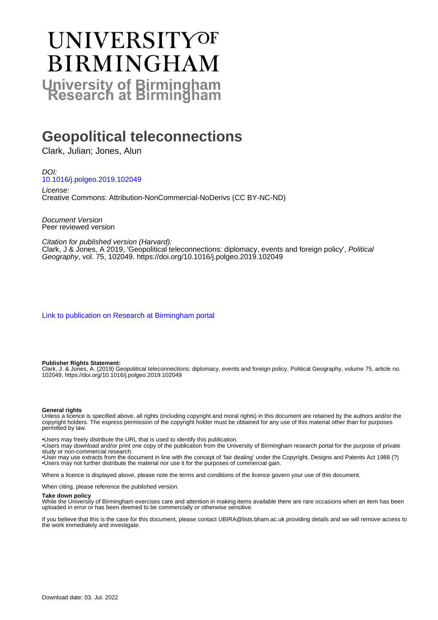# UNIVERSITYOF **BIRMINGHAM University of Birmingham**

# **Geopolitical teleconnections**

Clark, Julian; Jones, Alun

DOI: [10.1016/j.polgeo.2019.102049](https://doi.org/10.1016/j.polgeo.2019.102049)

License: Creative Commons: Attribution-NonCommercial-NoDerivs (CC BY-NC-ND)

Document Version Peer reviewed version

Citation for published version (Harvard):

Clark, J & Jones, A 2019, 'Geopolitical teleconnections: diplomacy, events and foreign policy', Political Geography, vol. 75, 102049. <https://doi.org/10.1016/j.polgeo.2019.102049>

[Link to publication on Research at Birmingham portal](https://birmingham.elsevierpure.com/en/publications/1c6ad65e-9489-4bba-b673-8f4704f226c2)

#### **Publisher Rights Statement:**

Clark, J. & Jones, A. (2019) Geopolitical teleconnections: diplomacy, events and foreign policy, Political Geography, volume 75, article no. 102049, https://doi.org/10.1016/j.polgeo.2019.102049

#### **General rights**

Unless a licence is specified above, all rights (including copyright and moral rights) in this document are retained by the authors and/or the copyright holders. The express permission of the copyright holder must be obtained for any use of this material other than for purposes permitted by law.

• Users may freely distribute the URL that is used to identify this publication.

• Users may download and/or print one copy of the publication from the University of Birmingham research portal for the purpose of private study or non-commercial research.

• User may use extracts from the document in line with the concept of 'fair dealing' under the Copyright, Designs and Patents Act 1988 (?) • Users may not further distribute the material nor use it for the purposes of commercial gain.

Where a licence is displayed above, please note the terms and conditions of the licence govern your use of this document.

When citing, please reference the published version.

#### **Take down policy**

While the University of Birmingham exercises care and attention in making items available there are rare occasions when an item has been uploaded in error or has been deemed to be commercially or otherwise sensitive.

If you believe that this is the case for this document, please contact UBIRA@lists.bham.ac.uk providing details and we will remove access to the work immediately and investigate.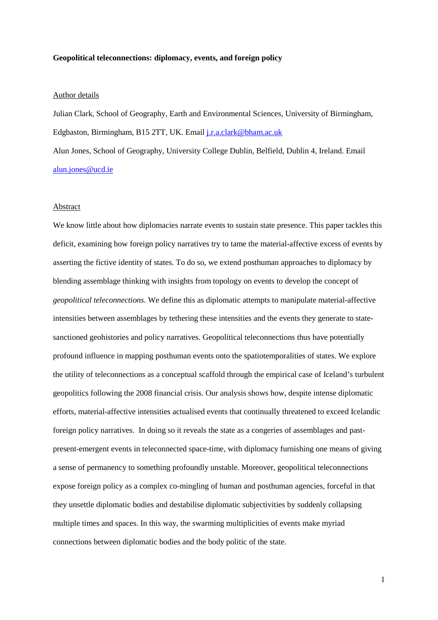#### **Geopolitical teleconnections: diplomacy, events, and foreign policy**

# Author details

Julian Clark, School of Geography, Earth and Environmental Sciences, University of Birmingham, Edgbaston, Birmingham, B15 2TT, UK. Email [j.r.a.clark@bham.ac.uk](mailto:j.r.a.clark@bham.ac.uk) Alun Jones, School of Geography, University College Dublin, Belfield, Dublin 4, Ireland. Email [alun.jones@ucd.ie](mailto:alun.jones@ucd.ie)

# Abstract

We know little about how diplomacies narrate events to sustain state presence. This paper tackles this deficit, examining how foreign policy narratives try to tame the material-affective excess of events by asserting the fictive identity of states. To do so, we extend posthuman approaches to diplomacy by blending assemblage thinking with insights from topology on events to develop the concept of *geopolitical teleconnections*. We define this as diplomatic attempts to manipulate material-affective intensities between assemblages by tethering these intensities and the events they generate to statesanctioned geohistories and policy narratives. Geopolitical teleconnections thus have potentially profound influence in mapping posthuman events onto the spatiotemporalities of states. We explore the utility of teleconnections as a conceptual scaffold through the empirical case of Iceland's turbulent geopolitics following the 2008 financial crisis. Our analysis shows how, despite intense diplomatic efforts, material-affective intensities actualised events that continually threatened to exceed Icelandic foreign policy narratives. In doing so it reveals the state as a congeries of assemblages and pastpresent-emergent events in teleconnected space-time, with diplomacy furnishing one means of giving a sense of permanency to something profoundly unstable. Moreover, geopolitical teleconnections expose foreign policy as a complex co-mingling of human and posthuman agencies, forceful in that they unsettle diplomatic bodies and destabilise diplomatic subjectivities by suddenly collapsing multiple times and spaces. In this way, the swarming multiplicities of events make myriad connections between diplomatic bodies and the body politic of the state.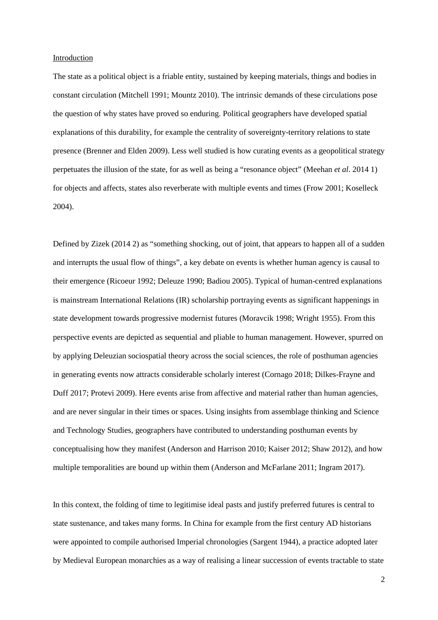# Introduction

The state as a political object is a friable entity, sustained by keeping materials, things and bodies in constant circulation (Mitchell 1991; Mountz 2010). The intrinsic demands of these circulations pose the question of why states have proved so enduring. Political geographers have developed spatial explanations of this durability, for example the centrality of sovereignty-territory relations to state presence (Brenner and Elden 2009). Less well studied is how curating events as a geopolitical strategy perpetuates the illusion of the state, for as well as being a "resonance object" (Meehan *et al*. 2014 1) for objects and affects, states also reverberate with multiple events and times (Frow 2001; Koselleck 2004).

Defined by Zizek (2014 2) as "something shocking, out of joint, that appears to happen all of a sudden and interrupts the usual flow of things", a key debate on events is whether human agency is causal to their emergence (Ricoeur 1992; Deleuze 1990; Badiou 2005). Typical of human-centred explanations is mainstream International Relations (IR) scholarship portraying events as significant happenings in state development towards progressive modernist futures (Moravcik 1998; Wright 1955). From this perspective events are depicted as sequential and pliable to human management. However, spurred on by applying Deleuzian sociospatial theory across the social sciences, the role of posthuman agencies in generating events now attracts considerable scholarly interest (Cornago 2018; Dilkes-Frayne and Duff 2017; Protevi 2009). Here events arise from affective and material rather than human agencies, and are never singular in their times or spaces. Using insights from assemblage thinking and Science and Technology Studies, geographers have contributed to understanding posthuman events by conceptualising how they manifest (Anderson and Harrison 2010; Kaiser 2012; Shaw 2012), and how multiple temporalities are bound up within them (Anderson and McFarlane 2011; Ingram 2017).

In this context, the folding of time to legitimise ideal pasts and justify preferred futures is central to state sustenance, and takes many forms. In China for example from the first century AD historians were appointed to compile authorised Imperial chronologies (Sargent 1944), a practice adopted later by Medieval European monarchies as a way of realising a linear succession of events tractable to state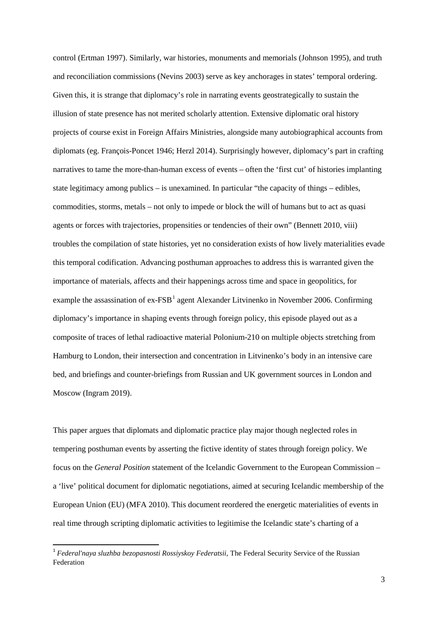control (Ertman 1997). Similarly, war histories, monuments and memorials (Johnson 1995), and truth and reconciliation commissions (Nevins 2003) serve as key anchorages in states' temporal ordering. Given this, it is strange that diplomacy's role in narrating events geostrategically to sustain the illusion of state presence has not merited scholarly attention. Extensive diplomatic oral history projects of course exist in Foreign Affairs Ministries, alongside many autobiographical accounts from diplomats (eg. François-Poncet 1946; Herzl 2014). Surprisingly however, diplomacy's part in crafting narratives to tame the more-than-human excess of events – often the 'first cut' of histories implanting state legitimacy among publics – is unexamined. In particular "the capacity of things – edibles, commodities, storms, metals – not only to impede or block the will of humans but to act as quasi agents or forces with trajectories, propensities or tendencies of their own" (Bennett 2010, viii) troubles the compilation of state histories, yet no consideration exists of how lively materialities evade this temporal codification. Advancing posthuman approaches to address this is warranted given the importance of materials, affects and their happenings across time and space in geopolitics, for example the assassination of  $ex-FSB<sup>1</sup>$  $ex-FSB<sup>1</sup>$  $ex-FSB<sup>1</sup>$  agent Alexander Litvinenko in November 2006. Confirming diplomacy's importance in shaping events through foreign policy, this episode played out as a composite of traces of lethal radioactive material Polonium-210 on multiple objects stretching from Hamburg to London, their intersection and concentration in Litvinenko's body in an intensive care bed, and briefings and counter-briefings from Russian and UK government sources in London and Moscow (Ingram 2019).

This paper argues that diplomats and diplomatic practice play major though neglected roles in tempering posthuman events by asserting the fictive identity of states through foreign policy. We focus on the *General Position* statement of the Icelandic Government to the European Commission – a 'live' political document for diplomatic negotiations, aimed at securing Icelandic membership of the European Union (EU) (MFA 2010). This document reordered the energetic materialities of events in real time through scripting diplomatic activities to legitimise the Icelandic state's charting of a

 $\overline{\phantom{a}}$ 

<span id="page-3-0"></span><sup>1</sup> *Federal'naya sluzhba bezopasnosti Rossiyskoy Federatsii*, The Federal Security Service of the Russian Federation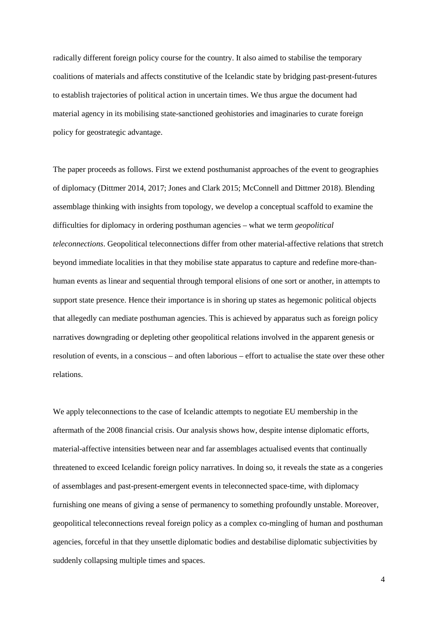radically different foreign policy course for the country. It also aimed to stabilise the temporary coalitions of materials and affects constitutive of the Icelandic state by bridging past-present-futures to establish trajectories of political action in uncertain times. We thus argue the document had material agency in its mobilising state-sanctioned geohistories and imaginaries to curate foreign policy for geostrategic advantage.

The paper proceeds as follows. First we extend posthumanist approaches of the event to geographies of diplomacy (Dittmer 2014, 2017; Jones and Clark 2015; McConnell and Dittmer 2018). Blending assemblage thinking with insights from topology, we develop a conceptual scaffold to examine the difficulties for diplomacy in ordering posthuman agencies – what we term *geopolitical teleconnections*. Geopolitical teleconnections differ from other material-affective relations that stretch beyond immediate localities in that they mobilise state apparatus to capture and redefine more-thanhuman events as linear and sequential through temporal elisions of one sort or another, in attempts to support state presence. Hence their importance is in shoring up states as hegemonic political objects that allegedly can mediate posthuman agencies. This is achieved by apparatus such as foreign policy narratives downgrading or depleting other geopolitical relations involved in the apparent genesis or resolution of events, in a conscious – and often laborious – effort to actualise the state over these other relations.

We apply teleconnections to the case of Icelandic attempts to negotiate EU membership in the aftermath of the 2008 financial crisis. Our analysis shows how, despite intense diplomatic efforts, material-affective intensities between near and far assemblages actualised events that continually threatened to exceed Icelandic foreign policy narratives. In doing so, it reveals the state as a congeries of assemblages and past-present-emergent events in teleconnected space-time, with diplomacy furnishing one means of giving a sense of permanency to something profoundly unstable. Moreover, geopolitical teleconnections reveal foreign policy as a complex co-mingling of human and posthuman agencies, forceful in that they unsettle diplomatic bodies and destabilise diplomatic subjectivities by suddenly collapsing multiple times and spaces.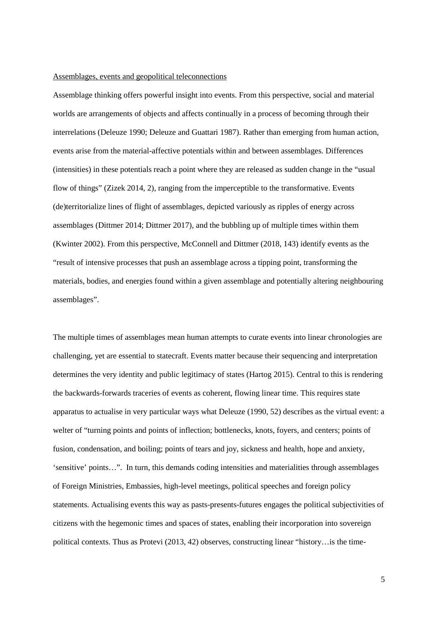# Assemblages, events and geopolitical teleconnections

Assemblage thinking offers powerful insight into events. From this perspective, social and material worlds are arrangements of objects and affects continually in a process of becoming through their interrelations (Deleuze 1990; Deleuze and Guattari 1987). Rather than emerging from human action, events arise from the material-affective potentials within and between assemblages. Differences (intensities) in these potentials reach a point where they are released as sudden change in the "usual flow of things" (Zizek 2014, 2), ranging from the imperceptible to the transformative. Events (de)territorialize lines of flight of assemblages, depicted variously as ripples of energy across assemblages (Dittmer 2014; Dittmer 2017), and the bubbling up of multiple times within them (Kwinter 2002). From this perspective, McConnell and Dittmer (2018, 143) identify events as the "result of intensive processes that push an assemblage across a tipping point, transforming the materials, bodies, and energies found within a given assemblage and potentially altering neighbouring assemblages".

The multiple times of assemblages mean human attempts to curate events into linear chronologies are challenging, yet are essential to statecraft. Events matter because their sequencing and interpretation determines the very identity and public legitimacy of states (Hartog 2015). Central to this is rendering the backwards-forwards traceries of events as coherent, flowing linear time. This requires state apparatus to actualise in very particular ways what Deleuze (1990, 52) describes as the virtual event: a welter of "turning points and points of inflection; bottlenecks, knots, foyers, and centers; points of fusion, condensation, and boiling; points of tears and joy, sickness and health, hope and anxiety, 'sensitive' points…". In turn, this demands coding intensities and materialities through assemblages of Foreign Ministries, Embassies, high-level meetings, political speeches and foreign policy statements. Actualising events this way as pasts-presents-futures engages the political subjectivities of citizens with the hegemonic times and spaces of states, enabling their incorporation into sovereign political contexts. Thus as Protevi (2013, 42) observes, constructing linear "history…is the time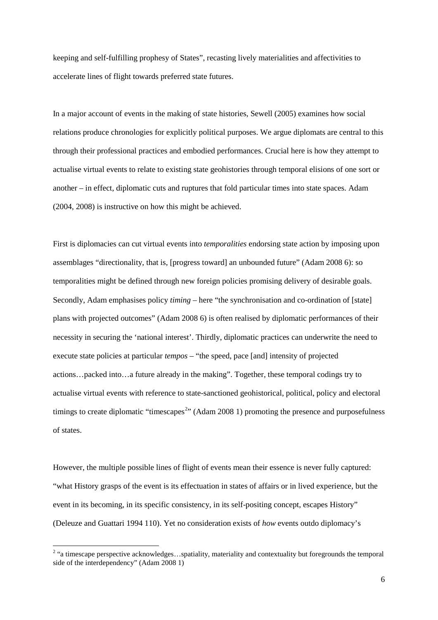keeping and self-fulfilling prophesy of States", recasting lively materialities and affectivities to accelerate lines of flight towards preferred state futures.

In a major account of events in the making of state histories, Sewell (2005) examines how social relations produce chronologies for explicitly political purposes. We argue diplomats are central to this through their professional practices and embodied performances. Crucial here is how they attempt to actualise virtual events to relate to existing state geohistories through temporal elisions of one sort or another – in effect, diplomatic cuts and ruptures that fold particular times into state spaces. Adam (2004, 2008) is instructive on how this might be achieved.

First is diplomacies can cut virtual events into *temporalities* endorsing state action by imposing upon assemblages "directionality, that is, [progress toward] an unbounded future" (Adam 2008 6): so temporalities might be defined through new foreign policies promising delivery of desirable goals. Secondly, Adam emphasises policy *timing* – here "the synchronisation and co-ordination of [state] plans with projected outcomes" (Adam 2008 6) is often realised by diplomatic performances of their necessity in securing the 'national interest'. Thirdly, diplomatic practices can underwrite the need to execute state policies at particular *tempos* – "the speed, pace [and] intensity of projected actions…packed into…a future already in the making". Together, these temporal codings try to actualise virtual events with reference to state-sanctioned geohistorical, political, policy and electoral timings to create diplomatic "timescapes<sup>[2](#page-6-0)</sup>" (Adam 2008 1) promoting the presence and purposefulness of states.

However, the multiple possible lines of flight of events mean their essence is never fully captured: "what History grasps of the event is its effectuation in states of affairs or in lived experience, but the event in its becoming, in its specific consistency, in its self-positing concept, escapes History" (Deleuze and Guattari 1994 110). Yet no consideration exists of *how* events outdo diplomacy's

 $\overline{\phantom{a}}$ 

<span id="page-6-0"></span><sup>&</sup>lt;sup>2</sup> "a timescape perspective acknowledges...spatiality, materiality and contextuality but foregrounds the temporal side of the interdependency" (Adam 2008 1)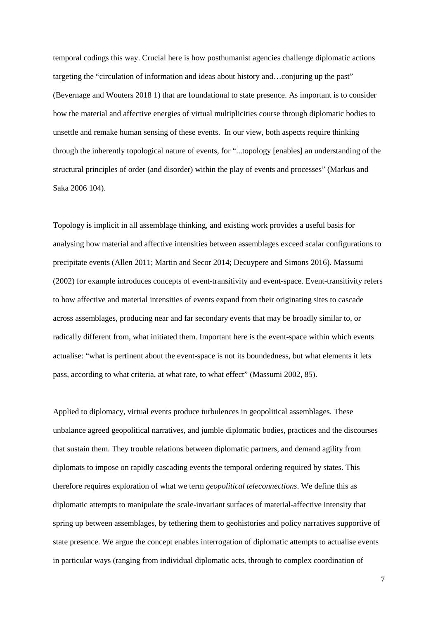temporal codings this way. Crucial here is how posthumanist agencies challenge diplomatic actions targeting the "circulation of information and ideas about history and…conjuring up the past" (Bevernage and Wouters 2018 1) that are foundational to state presence. As important is to consider how the material and affective energies of virtual multiplicities course through diplomatic bodies to unsettle and remake human sensing of these events. In our view, both aspects require thinking through the inherently topological nature of events, for "...topology [enables] an understanding of the structural principles of order (and disorder) within the play of events and processes" (Markus and Saka 2006 104).

Topology is implicit in all assemblage thinking, and existing work provides a useful basis for analysing how material and affective intensities between assemblages exceed scalar configurations to precipitate events (Allen 2011; Martin and Secor 2014; Decuypere and Simons 2016). Massumi (2002) for example introduces concepts of event-transitivity and event-space. Event-transitivity refers to how affective and material intensities of events expand from their originating sites to cascade across assemblages, producing near and far secondary events that may be broadly similar to, or radically different from, what initiated them. Important here is the event-space within which events actualise: "what is pertinent about the event-space is not its boundedness, but what elements it lets pass, according to what criteria, at what rate, to what effect" (Massumi 2002, 85).

Applied to diplomacy, virtual events produce turbulences in geopolitical assemblages. These unbalance agreed geopolitical narratives, and jumble diplomatic bodies, practices and the discourses that sustain them. They trouble relations between diplomatic partners, and demand agility from diplomats to impose on rapidly cascading events the temporal ordering required by states. This therefore requires exploration of what we term *geopolitical teleconnections*. We define this as diplomatic attempts to manipulate the scale-invariant surfaces of material-affective intensity that spring up between assemblages, by tethering them to geohistories and policy narratives supportive of state presence. We argue the concept enables interrogation of diplomatic attempts to actualise events in particular ways (ranging from individual diplomatic acts, through to complex coordination of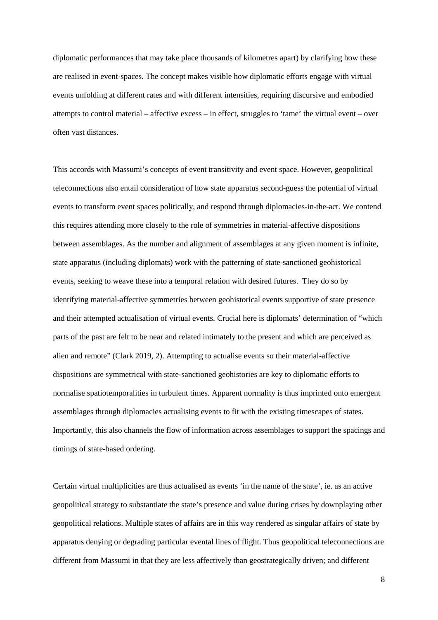diplomatic performances that may take place thousands of kilometres apart) by clarifying how these are realised in event-spaces. The concept makes visible how diplomatic efforts engage with virtual events unfolding at different rates and with different intensities, requiring discursive and embodied attempts to control material – affective excess – in effect, struggles to 'tame' the virtual event – over often vast distances.

This accords with Massumi's concepts of event transitivity and event space. However, geopolitical teleconnections also entail consideration of how state apparatus second-guess the potential of virtual events to transform event spaces politically, and respond through diplomacies-in-the-act. We contend this requires attending more closely to the role of symmetries in material-affective dispositions between assemblages. As the number and alignment of assemblages at any given moment is infinite, state apparatus (including diplomats) work with the patterning of state-sanctioned geohistorical events, seeking to weave these into a temporal relation with desired futures. They do so by identifying material-affective symmetries between geohistorical events supportive of state presence and their attempted actualisation of virtual events. Crucial here is diplomats' determination of "which parts of the past are felt to be near and related intimately to the present and which are perceived as alien and remote" (Clark 2019, 2). Attempting to actualise events so their material-affective dispositions are symmetrical with state-sanctioned geohistories are key to diplomatic efforts to normalise spatiotemporalities in turbulent times. Apparent normality is thus imprinted onto emergent assemblages through diplomacies actualising events to fit with the existing timescapes of states. Importantly, this also channels the flow of information across assemblages to support the spacings and timings of state-based ordering.

Certain virtual multiplicities are thus actualised as events 'in the name of the state', ie. as an active geopolitical strategy to substantiate the state's presence and value during crises by downplaying other geopolitical relations. Multiple states of affairs are in this way rendered as singular affairs of state by apparatus denying or degrading particular evental lines of flight. Thus geopolitical teleconnections are different from Massumi in that they are less affectively than geostrategically driven; and different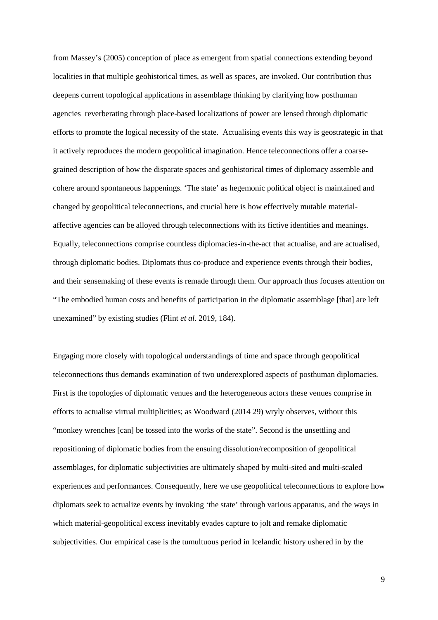from Massey's (2005) conception of place as emergent from spatial connections extending beyond localities in that multiple geohistorical times, as well as spaces, are invoked. Our contribution thus deepens current topological applications in assemblage thinking by clarifying how posthuman agencies reverberating through place-based localizations of power are lensed through diplomatic efforts to promote the logical necessity of the state. Actualising events this way is geostrategic in that it actively reproduces the modern geopolitical imagination. Hence teleconnections offer a coarsegrained description of how the disparate spaces and geohistorical times of diplomacy assemble and cohere around spontaneous happenings. 'The state' as hegemonic political object is maintained and changed by geopolitical teleconnections, and crucial here is how effectively mutable materialaffective agencies can be alloyed through teleconnections with its fictive identities and meanings. Equally, teleconnections comprise countless diplomacies-in-the-act that actualise, and are actualised, through diplomatic bodies. Diplomats thus co-produce and experience events through their bodies, and their sensemaking of these events is remade through them. Our approach thus focuses attention on "The embodied human costs and benefits of participation in the diplomatic assemblage [that] are left unexamined" by existing studies (Flint *et al*. 2019, 184).

Engaging more closely with topological understandings of time and space through geopolitical teleconnections thus demands examination of two underexplored aspects of posthuman diplomacies. First is the topologies of diplomatic venues and the heterogeneous actors these venues comprise in efforts to actualise virtual multiplicities; as Woodward (2014 29) wryly observes, without this "monkey wrenches [can] be tossed into the works of the state". Second is the unsettling and repositioning of diplomatic bodies from the ensuing dissolution/recomposition of geopolitical assemblages, for diplomatic subjectivities are ultimately shaped by multi-sited and multi-scaled experiences and performances. Consequently, here we use geopolitical teleconnections to explore how diplomats seek to actualize events by invoking 'the state' through various apparatus, and the ways in which material-geopolitical excess inevitably evades capture to jolt and remake diplomatic subjectivities. Our empirical case is the tumultuous period in Icelandic history ushered in by the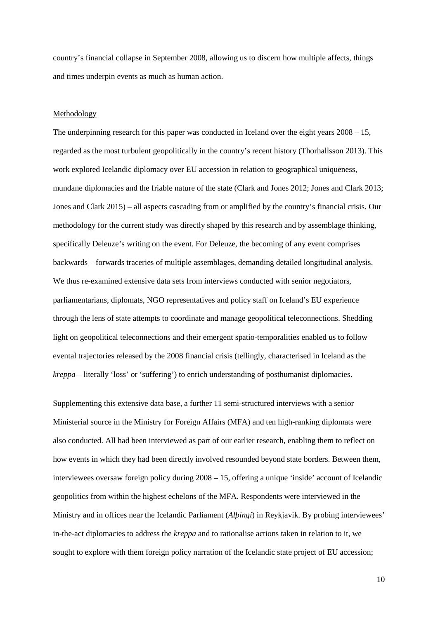country's financial collapse in September 2008, allowing us to discern how multiple affects, things and times underpin events as much as human action.

#### Methodology

The underpinning research for this paper was conducted in Iceland over the eight years 2008 – 15, regarded as the most turbulent geopolitically in the country's recent history (Thorhallsson 2013). This work explored Icelandic diplomacy over EU accession in relation to geographical uniqueness, mundane diplomacies and the friable nature of the state (Clark and Jones 2012; Jones and Clark 2013; Jones and Clark 2015) – all aspects cascading from or amplified by the country's financial crisis. Our methodology for the current study was directly shaped by this research and by assemblage thinking, specifically Deleuze's writing on the event. For Deleuze, the becoming of any event comprises backwards – forwards traceries of multiple assemblages, demanding detailed longitudinal analysis. We thus re-examined extensive data sets from interviews conducted with senior negotiators, parliamentarians, diplomats, NGO representatives and policy staff on Iceland's EU experience through the lens of state attempts to coordinate and manage geopolitical teleconnections. Shedding light on geopolitical teleconnections and their emergent spatio-temporalities enabled us to follow evental trajectories released by the 2008 financial crisis (tellingly, characterised in Iceland as the *kreppa* – literally 'loss' or 'suffering') to enrich understanding of posthumanist diplomacies.

Supplementing this extensive data base, a further 11 semi-structured interviews with a senior Ministerial source in the Ministry for Foreign Affairs (MFA) and ten high-ranking diplomats were also conducted. All had been interviewed as part of our earlier research, enabling them to reflect on how events in which they had been directly involved resounded beyond state borders. Between them, interviewees oversaw foreign policy during 2008 – 15, offering a unique 'inside' account of Icelandic geopolitics from within the highest echelons of the MFA. Respondents were interviewed in the Ministry and in offices near the Icelandic Parliament (*Alþingi*) in Reykjavík. By probing interviewees' in-the-act diplomacies to address the *kreppa* and to rationalise actions taken in relation to it, we sought to explore with them foreign policy narration of the Icelandic state project of EU accession;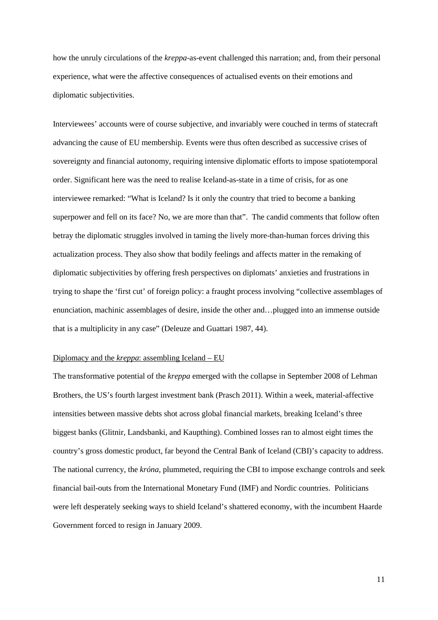how the unruly circulations of the *kreppa*-as-event challenged this narration; and, from their personal experience, what were the affective consequences of actualised events on their emotions and diplomatic subjectivities.

Interviewees' accounts were of course subjective, and invariably were couched in terms of statecraft advancing the cause of EU membership. Events were thus often described as successive crises of sovereignty and financial autonomy, requiring intensive diplomatic efforts to impose spatiotemporal order. Significant here was the need to realise Iceland-as-state in a time of crisis, for as one interviewee remarked: "What is Iceland? Is it only the country that tried to become a banking superpower and fell on its face? No, we are more than that". The candid comments that follow often betray the diplomatic struggles involved in taming the lively more-than-human forces driving this actualization process. They also show that bodily feelings and affects matter in the remaking of diplomatic subjectivities by offering fresh perspectives on diplomats' anxieties and frustrations in trying to shape the 'first cut' of foreign policy: a fraught process involving "collective assemblages of enunciation, machinic assemblages of desire, inside the other and…plugged into an immense outside that is a multiplicity in any case" (Deleuze and Guattari 1987, 44).

# Diplomacy and the *kreppa*: assembling Iceland – EU

The transformative potential of the *kreppa* emerged with the collapse in September 2008 of Lehman Brothers, the US's fourth largest investment bank (Prasch 2011). Within a week, material-affective intensities between massive debts shot across global financial markets, breaking Iceland's three biggest banks (Glitnir, Landsbanki, and Kaupthing). Combined losses ran to almost eight times the country's gross domestic product, far beyond the Central Bank of Iceland (CBI)'s capacity to address. The national currency, the *króna*, plummeted, requiring the CBI to impose exchange controls and seek financial bail-outs from the International Monetary Fund (IMF) and Nordic countries. Politicians were left desperately seeking ways to shield Iceland's shattered economy, with the incumbent Haarde Government forced to resign in January 2009.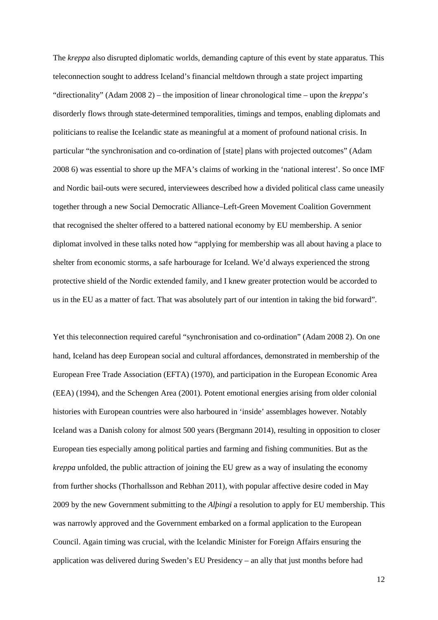The *kreppa* also disrupted diplomatic worlds, demanding capture of this event by state apparatus. This teleconnection sought to address Iceland's financial meltdown through a state project imparting "directionality" (Adam 2008 2) – the imposition of linear chronological time – upon the *kreppa*'*s* disorderly flows through state-determined temporalities, timings and tempos, enabling diplomats and politicians to realise the Icelandic state as meaningful at a moment of profound national crisis. In particular "the synchronisation and co-ordination of [state] plans with projected outcomes" (Adam 2008 6) was essential to shore up the MFA's claims of working in the 'national interest'. So once IMF and Nordic bail-outs were secured, interviewees described how a divided political class came uneasily together through a new Social Democratic Alliance–Left-Green Movement Coalition Government that recognised the shelter offered to a battered national economy by EU membership. A senior diplomat involved in these talks noted how "applying for membership was all about having a place to shelter from economic storms, a safe harbourage for Iceland. We'd always experienced the strong protective shield of the Nordic extended family, and I knew greater protection would be accorded to us in the EU as a matter of fact. That was absolutely part of our intention in taking the bid forward".

Yet this teleconnection required careful "synchronisation and co-ordination" (Adam 2008 2). On one hand, Iceland has deep European social and cultural affordances, demonstrated in membership of the European Free Trade Association (EFTA) (1970), and participation in the European Economic Area (EEA) (1994), and the Schengen Area (2001). Potent emotional energies arising from older colonial histories with European countries were also harboured in 'inside' assemblages however. Notably Iceland was a Danish colony for almost 500 years (Bergmann 2014), resulting in opposition to closer European ties especially among political parties and farming and fishing communities. But as the *kreppa* unfolded, the public attraction of joining the EU grew as a way of insulating the economy from further shocks (Thorhallsson and Rebhan 2011), with popular affective desire coded in May 2009 by the new Government submitting to the *Alþingi* a resolution to apply for EU membership. This was narrowly approved and the Government embarked on a formal application to the European Council. Again timing was crucial, with the Icelandic Minister for Foreign Affairs ensuring the application was delivered during Sweden's EU Presidency – an ally that just months before had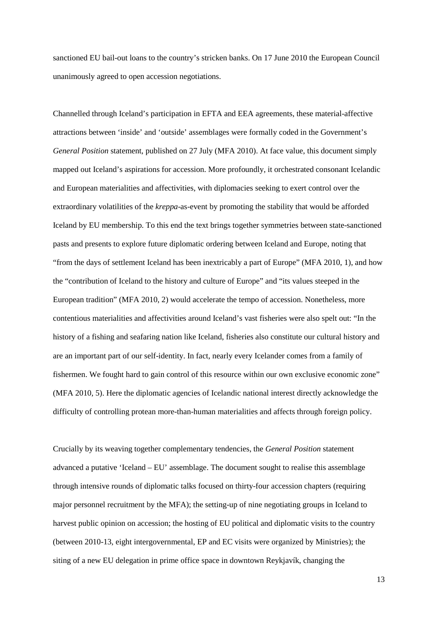sanctioned EU bail-out loans to the country's stricken banks. On 17 June 2010 the European Council unanimously agreed to open accession negotiations.

Channelled through Iceland's participation in EFTA and EEA agreements, these material-affective attractions between 'inside' and 'outside' assemblages were formally coded in the Government's *General Position* statement, published on 27 July (MFA 2010). At face value, this document simply mapped out Iceland's aspirations for accession. More profoundly, it orchestrated consonant Icelandic and European materialities and affectivities, with diplomacies seeking to exert control over the extraordinary volatilities of the *kreppa*-as-event by promoting the stability that would be afforded Iceland by EU membership. To this end the text brings together symmetries between state-sanctioned pasts and presents to explore future diplomatic ordering between Iceland and Europe, noting that "from the days of settlement Iceland has been inextricably a part of Europe" (MFA 2010, 1), and how the "contribution of Iceland to the history and culture of Europe" and "its values steeped in the European tradition" (MFA 2010, 2) would accelerate the tempo of accession. Nonetheless, more contentious materialities and affectivities around Iceland's vast fisheries were also spelt out: "In the history of a fishing and seafaring nation like Iceland, fisheries also constitute our cultural history and are an important part of our self-identity. In fact, nearly every Icelander comes from a family of fishermen. We fought hard to gain control of this resource within our own exclusive economic zone" (MFA 2010, 5). Here the diplomatic agencies of Icelandic national interest directly acknowledge the difficulty of controlling protean more-than-human materialities and affects through foreign policy.

Crucially by its weaving together complementary tendencies, the *General Position* statement advanced a putative 'Iceland – EU' assemblage. The document sought to realise this assemblage through intensive rounds of diplomatic talks focused on thirty-four accession chapters (requiring major personnel recruitment by the MFA); the setting-up of nine negotiating groups in Iceland to harvest public opinion on accession; the hosting of EU political and diplomatic visits to the country (between 2010-13, eight intergovernmental, EP and EC visits were organized by Ministries); the siting of a new EU delegation in prime office space in downtown Reykjavík, changing the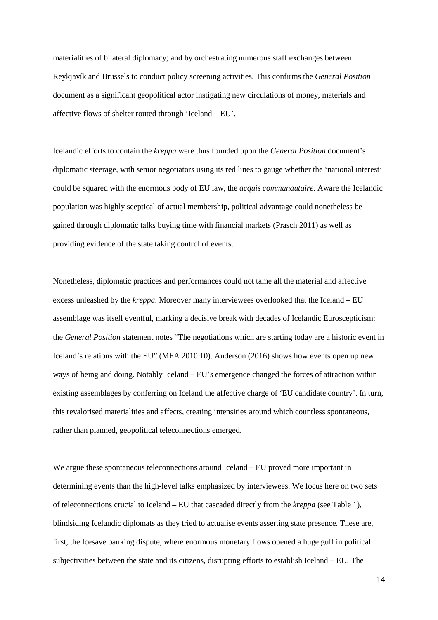materialities of bilateral diplomacy; and by orchestrating numerous staff exchanges between Reykjavík and Brussels to conduct policy screening activities. This confirms the *General Position* document as a significant geopolitical actor instigating new circulations of money, materials and affective flows of shelter routed through 'Iceland – EU'.

Icelandic efforts to contain the *kreppa* were thus founded upon the *General Position* document's diplomatic steerage, with senior negotiators using its red lines to gauge whether the 'national interest' could be squared with the enormous body of EU law, the *acquis communautaire*. Aware the Icelandic population was highly sceptical of actual membership, political advantage could nonetheless be gained through diplomatic talks buying time with financial markets (Prasch 2011) as well as providing evidence of the state taking control of events.

Nonetheless, diplomatic practices and performances could not tame all the material and affective excess unleashed by the *kreppa*. Moreover many interviewees overlooked that the Iceland – EU assemblage was itself eventful, marking a decisive break with decades of Icelandic Euroscepticism: the *General Position* statement notes "The negotiations which are starting today are a historic event in Iceland's relations with the EU" (MFA 2010 10). Anderson (2016) shows how events open up new ways of being and doing. Notably Iceland – EU's emergence changed the forces of attraction within existing assemblages by conferring on Iceland the affective charge of 'EU candidate country'. In turn, this revalorised materialities and affects, creating intensities around which countless spontaneous, rather than planned, geopolitical teleconnections emerged.

We argue these spontaneous teleconnections around Iceland – EU proved more important in determining events than the high-level talks emphasized by interviewees. We focus here on two sets of teleconnections crucial to Iceland – EU that cascaded directly from the *kreppa* (see Table 1), blindsiding Icelandic diplomats as they tried to actualise events asserting state presence. These are, first, the Icesave banking dispute, where enormous monetary flows opened a huge gulf in political subjectivities between the state and its citizens, disrupting efforts to establish Iceland – EU. The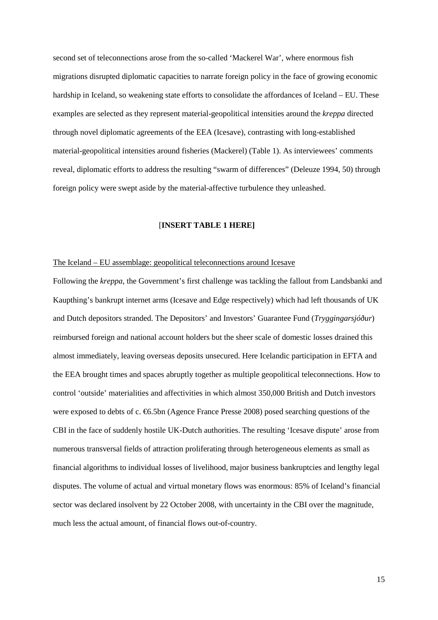second set of teleconnections arose from the so-called 'Mackerel War', where enormous fish migrations disrupted diplomatic capacities to narrate foreign policy in the face of growing economic hardship in Iceland, so weakening state efforts to consolidate the affordances of Iceland – EU. These examples are selected as they represent material-geopolitical intensities around the *kreppa* directed through novel diplomatic agreements of the EEA (Icesave), contrasting with long-established material-geopolitical intensities around fisheries (Mackerel) (Table 1). As interviewees' comments reveal, diplomatic efforts to address the resulting "swarm of differences" (Deleuze 1994, 50) through foreign policy were swept aside by the material-affective turbulence they unleashed.

# [**INSERT TABLE 1 HERE]**

# The Iceland – EU assemblage: geopolitical teleconnections around Icesave

Following the *kreppa*, the Government's first challenge was tackling the fallout from Landsbanki and Kaupthing's bankrupt internet arms (Icesave and Edge respectively) which had left thousands of UK and Dutch depositors stranded. The Depositors' and Investors' Guarantee Fund (*Tryggingarsjóður*) reimbursed foreign and national account holders but the sheer scale of domestic losses drained this almost immediately, leaving overseas deposits unsecured. Here Icelandic participation in EFTA and the EEA brought times and spaces abruptly together as multiple geopolitical teleconnections. How to control 'outside' materialities and affectivities in which almost 350,000 British and Dutch investors were exposed to debts of c. €6.5bn (Agence France Presse 2008) posed searching questions of the CBI in the face of suddenly hostile UK-Dutch authorities. The resulting 'Icesave dispute' arose from numerous transversal fields of attraction proliferating through heterogeneous elements as small as financial algorithms to individual losses of livelihood, major business bankruptcies and lengthy legal disputes. The volume of actual and virtual monetary flows was enormous: 85% of Iceland's financial sector was declared insolvent by 22 October 2008, with uncertainty in the CBI over the magnitude, much less the actual amount, of financial flows out-of-country.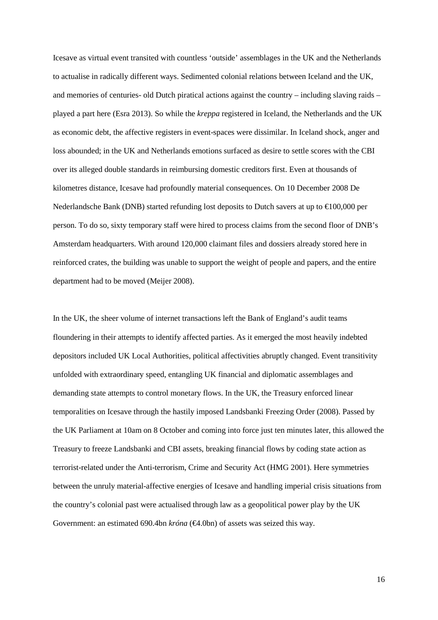Icesave as virtual event transited with countless 'outside' assemblages in the UK and the Netherlands to actualise in radically different ways. Sedimented colonial relations between Iceland and the UK, and memories of centuries- old Dutch piratical actions against the country – including slaving raids – played a part here (Esra 2013). So while the *kreppa* registered in Iceland, the Netherlands and the UK as economic debt, the affective registers in event-spaces were dissimilar. In Iceland shock, anger and loss abounded; in the UK and Netherlands emotions surfaced as desire to settle scores with the CBI over its alleged double standards in reimbursing domestic creditors first. Even at thousands of kilometres distance, Icesave had profoundly material consequences. On 10 December 2008 De Nederlandsche Bank (DNB) started refunding lost deposits to Dutch savers at up to €100,000 per person. To do so, sixty temporary staff were hired to process claims from the second floor of DNB's Amsterdam headquarters. With around 120,000 claimant files and dossiers already stored here in reinforced crates, the building was unable to support the weight of people and papers, and the entire department had to be moved (Meijer 2008).

In the UK, the sheer volume of internet transactions left the Bank of England's audit teams floundering in their attempts to identify affected parties. As it emerged the most heavily indebted depositors included UK Local Authorities, political affectivities abruptly changed. Event transitivity unfolded with extraordinary speed, entangling UK financial and diplomatic assemblages and demanding state attempts to control monetary flows. In the UK, the Treasury enforced linear temporalities on Icesave through the hastily imposed Landsbanki Freezing Order (2008). Passed by the UK Parliament at 10am on 8 October and coming into force just ten minutes later, this allowed the Treasury to freeze Landsbanki and CBI assets, breaking financial flows by coding state action as terrorist-related under the Anti-terrorism, Crime and Security Act (HMG 2001). Here symmetries between the unruly material-affective energies of Icesave and handling imperial crisis situations from the country's colonial past were actualised through law as a geopolitical power play by the UK Government: an estimated 690.4bn *króna* (€4.0bn) of assets was seized this way.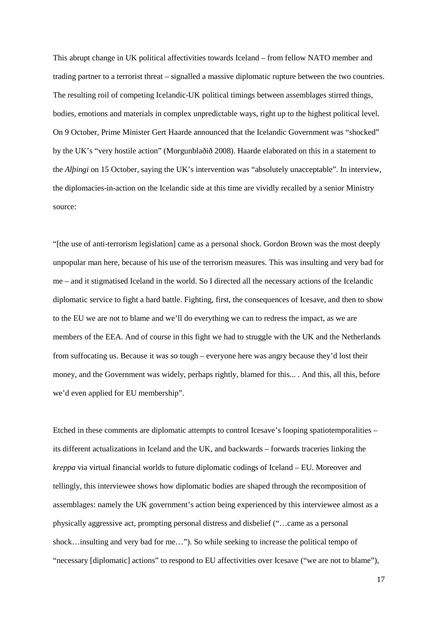This abrupt change in UK political affectivities towards Iceland – from fellow NATO member and trading partner to a terrorist threat – signalled a massive diplomatic rupture between the two countries. The resulting roil of competing Icelandic-UK political timings between assemblages stirred things, bodies, emotions and materials in complex unpredictable ways, right up to the highest political level. On 9 October, Prime Minister Gert Haarde announced that the Icelandic Government was "shocked" by the UK's "very hostile action" (Morgunblaðið 2008). Haarde elaborated on this in a statement to the *Alþingi* on 15 October, saying the UK's intervention was "absolutely unacceptable". In interview, the diplomacies-in-action on the Icelandic side at this time are vividly recalled by a senior Ministry source:

"[the use of anti-terrorism legislation] came as a personal shock. Gordon Brown was the most deeply unpopular man here, because of his use of the terrorism measures. This was insulting and very bad for me – and it stigmatised Iceland in the world. So I directed all the necessary actions of the Icelandic diplomatic service to fight a hard battle. Fighting, first, the consequences of Icesave, and then to show to the EU we are not to blame and we'll do everything we can to redress the impact, as we are members of the EEA. And of course in this fight we had to struggle with the UK and the Netherlands from suffocating us. Because it was so tough – everyone here was angry because they'd lost their money, and the Government was widely, perhaps rightly, blamed for this... . And this, all this, before we'd even applied for EU membership".

Etched in these comments are diplomatic attempts to control Icesave's looping spatiotemporalities – its different actualizations in Iceland and the UK, and backwards – forwards traceries linking the *kreppa* via virtual financial worlds to future diplomatic codings of Iceland – EU. Moreover and tellingly, this interviewee shows how diplomatic bodies are shaped through the recomposition of assemblages: namely the UK government's action being experienced by this interviewee almost as a physically aggressive act, prompting personal distress and disbelief ("…came as a personal shock…insulting and very bad for me…"). So while seeking to increase the political tempo of "necessary [diplomatic] actions" to respond to EU affectivities over Icesave ("we are not to blame"),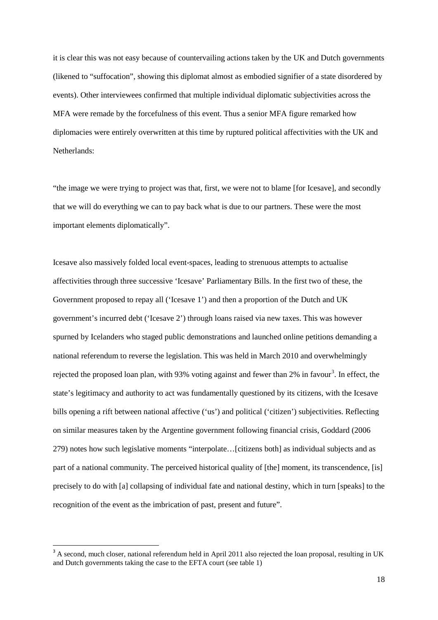it is clear this was not easy because of countervailing actions taken by the UK and Dutch governments (likened to "suffocation", showing this diplomat almost as embodied signifier of a state disordered by events). Other interviewees confirmed that multiple individual diplomatic subjectivities across the MFA were remade by the forcefulness of this event. Thus a senior MFA figure remarked how diplomacies were entirely overwritten at this time by ruptured political affectivities with the UK and Netherlands:

"the image we were trying to project was that, first, we were not to blame [for Icesave], and secondly that we will do everything we can to pay back what is due to our partners. These were the most important elements diplomatically".

Icesave also massively folded local event-spaces, leading to strenuous attempts to actualise affectivities through three successive 'Icesave' Parliamentary Bills. In the first two of these, the Government proposed to repay all ('Icesave 1') and then a proportion of the Dutch and UK government's incurred debt ('Icesave 2') through loans raised via new taxes. This was however spurned by Icelanders who staged public demonstrations and launched online petitions demanding a national referendum to reverse the legislation. This was held in March 2010 and overwhelmingly rejected the proposed loan plan, with 9[3](#page-18-0)% voting against and fewer than 2% in favour<sup>3</sup>. In effect, the state's legitimacy and authority to act was fundamentally questioned by its citizens, with the Icesave bills opening a rift between national affective ('us') and political ('citizen') subjectivities. Reflecting on similar measures taken by the Argentine government following financial crisis, Goddard (2006 279) notes how such legislative moments "interpolate…[citizens both] as individual subjects and as part of a national community. The perceived historical quality of [the] moment, its transcendence, [is] precisely to do with [a] collapsing of individual fate and national destiny, which in turn [speaks] to the recognition of the event as the imbrication of past, present and future".

 $\overline{\phantom{a}}$ 

<span id="page-18-0"></span><sup>&</sup>lt;sup>3</sup> A second, much closer, national referendum held in April 2011 also rejected the loan proposal, resulting in UK and Dutch governments taking the case to the EFTA court (see table 1)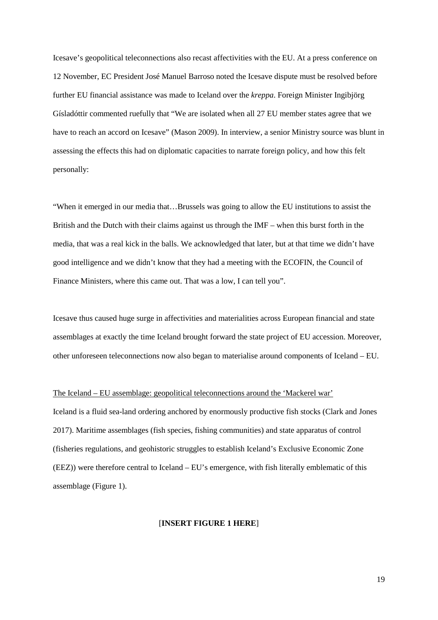Icesave's geopolitical teleconnections also recast affectivities with the EU. At a press conference on 12 November, EC President José Manuel Barroso noted the Icesave dispute must be resolved before further EU financial assistance was made to Iceland over the *kreppa*. Foreign Minister Ingibjörg Gísladóttir commented ruefully that "We are isolated when all 27 EU member states agree that we have to reach an accord on Icesave" (Mason 2009). In interview, a senior Ministry source was blunt in assessing the effects this had on diplomatic capacities to narrate foreign policy, and how this felt personally:

"When it emerged in our media that…Brussels was going to allow the EU institutions to assist the British and the Dutch with their claims against us through the IMF – when this burst forth in the media, that was a real kick in the balls. We acknowledged that later, but at that time we didn't have good intelligence and we didn't know that they had a meeting with the ECOFIN, the Council of Finance Ministers, where this came out. That was a low, I can tell you".

Icesave thus caused huge surge in affectivities and materialities across European financial and state assemblages at exactly the time Iceland brought forward the state project of EU accession. Moreover, other unforeseen teleconnections now also began to materialise around components of Iceland – EU.

# The Iceland – EU assemblage: geopolitical teleconnections around the 'Mackerel war'

Iceland is a fluid sea-land ordering anchored by enormously productive fish stocks (Clark and Jones 2017). Maritime assemblages (fish species, fishing communities) and state apparatus of control (fisheries regulations, and geohistoric struggles to establish Iceland's Exclusive Economic Zone (EEZ)) were therefore central to Iceland – EU's emergence, with fish literally emblematic of this assemblage (Figure 1).

# [**INSERT FIGURE 1 HERE**]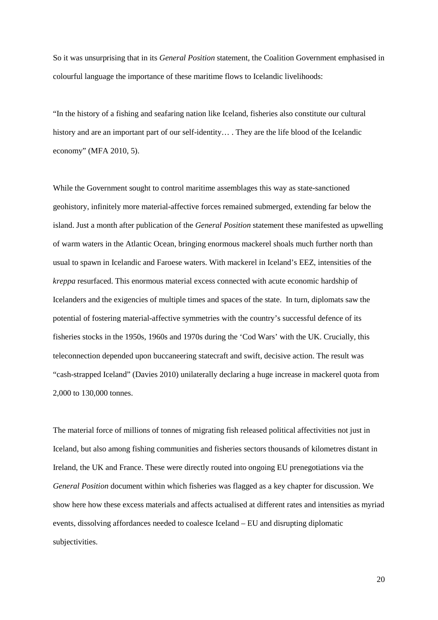So it was unsurprising that in its *General Position* statement, the Coalition Government emphasised in colourful language the importance of these maritime flows to Icelandic livelihoods:

"In the history of a fishing and seafaring nation like Iceland, fisheries also constitute our cultural history and are an important part of our self-identity.... They are the life blood of the Icelandic economy" (MFA 2010, 5).

While the Government sought to control maritime assemblages this way as state-sanctioned geohistory, infinitely more material-affective forces remained submerged, extending far below the island. Just a month after publication of the *General Position* statement these manifested as upwelling of warm waters in the Atlantic Ocean, bringing enormous mackerel shoals much further north than usual to spawn in Icelandic and Faroese waters. With mackerel in Iceland's EEZ, intensities of the *kreppa* resurfaced. This enormous material excess connected with acute economic hardship of Icelanders and the exigencies of multiple times and spaces of the state. In turn, diplomats saw the potential of fostering material-affective symmetries with the country's successful defence of its fisheries stocks in the 1950s, 1960s and 1970s during the 'Cod Wars' with the UK. Crucially, this teleconnection depended upon buccaneering statecraft and swift, decisive action. The result was "cash-strapped Iceland" (Davies 2010) unilaterally declaring a huge increase in mackerel quota from 2,000 to 130,000 tonnes.

The material force of millions of tonnes of migrating fish released political affectivities not just in Iceland, but also among fishing communities and fisheries sectors thousands of kilometres distant in Ireland, the UK and France. These were directly routed into ongoing EU prenegotiations via the *General Position* document within which fisheries was flagged as a key chapter for discussion. We show here how these excess materials and affects actualised at different rates and intensities as myriad events, dissolving affordances needed to coalesce Iceland – EU and disrupting diplomatic subjectivities.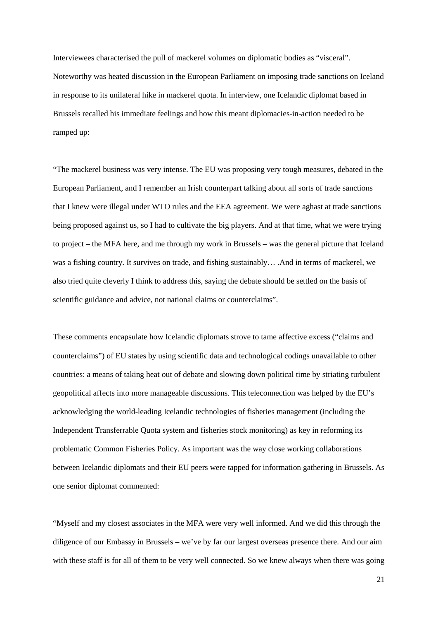Interviewees characterised the pull of mackerel volumes on diplomatic bodies as "visceral". Noteworthy was heated discussion in the European Parliament on imposing trade sanctions on Iceland in response to its unilateral hike in mackerel quota. In interview, one Icelandic diplomat based in Brussels recalled his immediate feelings and how this meant diplomacies-in-action needed to be ramped up:

"The mackerel business was very intense. The EU was proposing very tough measures, debated in the European Parliament, and I remember an Irish counterpart talking about all sorts of trade sanctions that I knew were illegal under WTO rules and the EEA agreement. We were aghast at trade sanctions being proposed against us, so I had to cultivate the big players. And at that time, what we were trying to project – the MFA here, and me through my work in Brussels – was the general picture that Iceland was a fishing country. It survives on trade, and fishing sustainably… .And in terms of mackerel, we also tried quite cleverly I think to address this, saying the debate should be settled on the basis of scientific guidance and advice, not national claims or counterclaims".

These comments encapsulate how Icelandic diplomats strove to tame affective excess ("claims and counterclaims") of EU states by using scientific data and technological codings unavailable to other countries: a means of taking heat out of debate and slowing down political time by striating turbulent geopolitical affects into more manageable discussions. This teleconnection was helped by the EU's acknowledging the world-leading Icelandic technologies of fisheries management (including the Independent Transferrable Quota system and fisheries stock monitoring) as key in reforming its problematic Common Fisheries Policy. As important was the way close working collaborations between Icelandic diplomats and their EU peers were tapped for information gathering in Brussels. As one senior diplomat commented:

"Myself and my closest associates in the MFA were very well informed. And we did this through the diligence of our Embassy in Brussels – we've by far our largest overseas presence there. And our aim with these staff is for all of them to be very well connected. So we knew always when there was going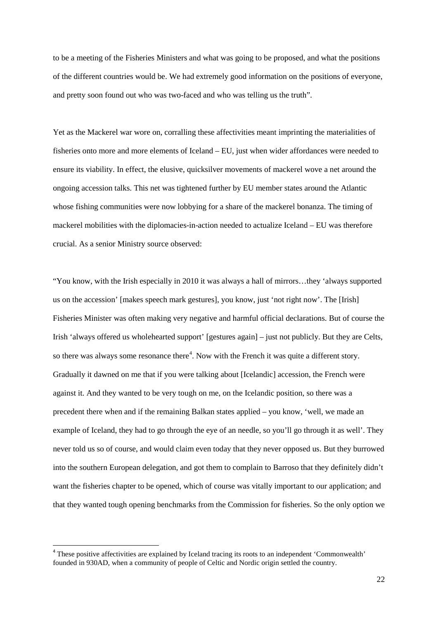to be a meeting of the Fisheries Ministers and what was going to be proposed, and what the positions of the different countries would be. We had extremely good information on the positions of everyone, and pretty soon found out who was two-faced and who was telling us the truth".

Yet as the Mackerel war wore on, corralling these affectivities meant imprinting the materialities of fisheries onto more and more elements of Iceland – EU, just when wider affordances were needed to ensure its viability. In effect, the elusive, quicksilver movements of mackerel wove a net around the ongoing accession talks. This net was tightened further by EU member states around the Atlantic whose fishing communities were now lobbying for a share of the mackerel bonanza. The timing of mackerel mobilities with the diplomacies-in-action needed to actualize Iceland – EU was therefore crucial. As a senior Ministry source observed:

"You know, with the Irish especially in 2010 it was always a hall of mirrors…they 'always supported us on the accession' [makes speech mark gestures], you know, just 'not right now'. The [Irish] Fisheries Minister was often making very negative and harmful official declarations. But of course the Irish 'always offered us wholehearted support' [gestures again] – just not publicly. But they are Celts, so there was always some resonance there<sup>[4](#page-22-0)</sup>. Now with the French it was quite a different story. Gradually it dawned on me that if you were talking about [Icelandic] accession, the French were against it. And they wanted to be very tough on me, on the Icelandic position, so there was a precedent there when and if the remaining Balkan states applied – you know, 'well, we made an example of Iceland, they had to go through the eye of an needle, so you'll go through it as well'. They never told us so of course, and would claim even today that they never opposed us. But they burrowed into the southern European delegation, and got them to complain to Barroso that they definitely didn't want the fisheries chapter to be opened, which of course was vitally important to our application; and that they wanted tough opening benchmarks from the Commission for fisheries. So the only option we

 $\overline{\phantom{a}}$ 

<span id="page-22-0"></span><sup>&</sup>lt;sup>4</sup> These positive affectivities are explained by Iceland tracing its roots to an independent 'Commonwealth' founded in 930AD, when a community of people of Celtic and Nordic origin settled the country.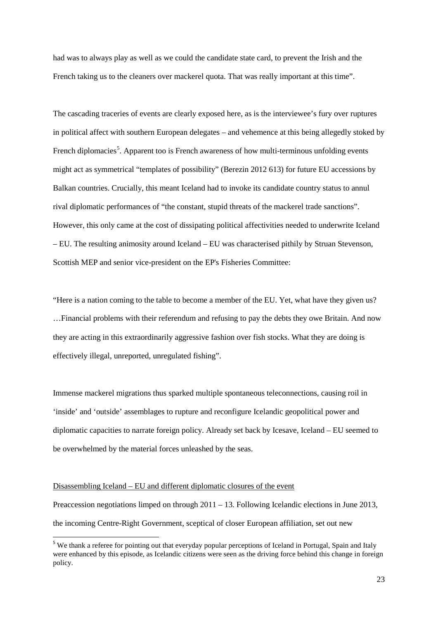had was to always play as well as we could the candidate state card, to prevent the Irish and the French taking us to the cleaners over mackerel quota. That was really important at this time".

The cascading traceries of events are clearly exposed here, as is the interviewee's fury over ruptures in political affect with southern European delegates – and vehemence at this being allegedly stoked by French diplomacies<sup>[5](#page-23-0)</sup>. Apparent too is French awareness of how multi-terminous unfolding events might act as symmetrical "templates of possibility" (Berezin 2012 613) for future EU accessions by Balkan countries. Crucially, this meant Iceland had to invoke its candidate country status to annul rival diplomatic performances of "the constant, stupid threats of the mackerel trade sanctions". However, this only came at the cost of dissipating political affectivities needed to underwrite Iceland – EU. The resulting animosity around Iceland – EU was characterised pithily by Struan Stevenson, Scottish MEP and senior vice-president on the EP's Fisheries Committee:

"Here is a nation coming to the table to become a member of the EU. Yet, what have they given us? …Financial problems with their referendum and refusing to pay the debts they owe Britain. And now they are acting in this extraordinarily aggressive fashion over fish stocks. What they are doing is effectively illegal, unreported, unregulated fishing".

Immense mackerel migrations thus sparked multiple spontaneous teleconnections, causing roil in 'inside' and 'outside' assemblages to rupture and reconfigure Icelandic geopolitical power and diplomatic capacities to narrate foreign policy. Already set back by Icesave, Iceland – EU seemed to be overwhelmed by the material forces unleashed by the seas.

# Disassembling Iceland – EU and different diplomatic closures of the event

**.** 

Preaccession negotiations limped on through 2011 – 13. Following Icelandic elections in June 2013, the incoming Centre-Right Government, sceptical of closer European affiliation, set out new

<span id="page-23-0"></span><sup>&</sup>lt;sup>5</sup> We thank a referee for pointing out that everyday popular perceptions of Iceland in Portugal, Spain and Italy were enhanced by this episode, as Icelandic citizens were seen as the driving force behind this change in foreign policy.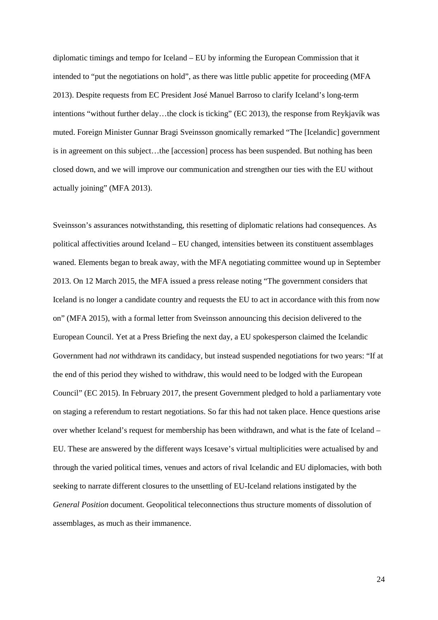diplomatic timings and tempo for Iceland – EU by informing the European Commission that it intended to "put the negotiations on hold", as there was little public appetite for proceeding (MFA 2013). Despite requests from EC President José Manuel Barroso to clarify Iceland's long-term intentions "without further delay…the clock is ticking" (EC 2013), the response from Reykjavík was muted. Foreign Minister Gunnar Bragi Sveinsson gnomically remarked "The [Icelandic] government is in agreement on this subject…the [accession] process has been suspended. But nothing has been closed down, and we will improve our communication and strengthen our ties with the EU without actually joining" (MFA 2013).

Sveinsson's assurances notwithstanding, this resetting of diplomatic relations had consequences. As political affectivities around Iceland – EU changed, intensities between its constituent assemblages waned. Elements began to break away, with the MFA negotiating committee wound up in September 2013. On 12 March 2015, the MFA issued a press release noting "The government considers that Iceland is no longer a candidate country and requests the EU to act in accordance with this from now on" (MFA 2015), with a formal letter from Sveinsson announcing this decision delivered to the European Council. Yet at a Press Briefing the next day, a EU spokesperson claimed the Icelandic Government had *not* withdrawn its candidacy, but instead suspended negotiations for two years: "If at the end of this period they wished to withdraw, this would need to be lodged with the European Council" (EC 2015). In February 2017, the present Government pledged to hold a parliamentary vote on staging a referendum to restart negotiations. So far this had not taken place. Hence questions arise over whether Iceland's request for membership has been withdrawn, and what is the fate of Iceland – EU. These are answered by the different ways Icesave's virtual multiplicities were actualised by and through the varied political times, venues and actors of rival Icelandic and EU diplomacies, with both seeking to narrate different closures to the unsettling of EU-Iceland relations instigated by the *General Position* document. Geopolitical teleconnections thus structure moments of dissolution of assemblages, as much as their immanence.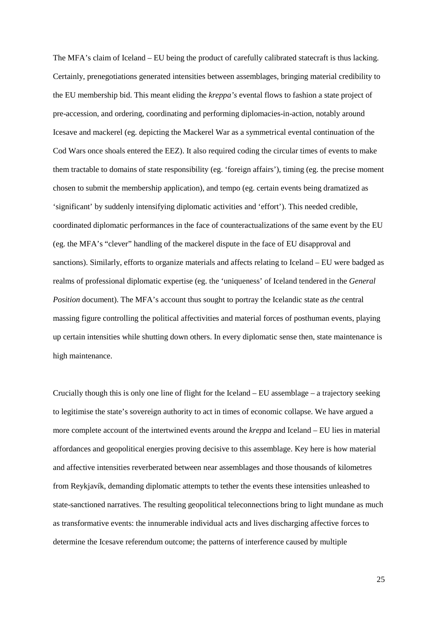The MFA's claim of Iceland – EU being the product of carefully calibrated statecraft is thus lacking. Certainly, prenegotiations generated intensities between assemblages, bringing material credibility to the EU membership bid. This meant eliding the *kreppa's* evental flows to fashion a state project of pre-accession, and ordering, coordinating and performing diplomacies-in-action, notably around Icesave and mackerel (eg. depicting the Mackerel War as a symmetrical evental continuation of the Cod Wars once shoals entered the EEZ). It also required coding the circular times of events to make them tractable to domains of state responsibility (eg. 'foreign affairs'), timing (eg. the precise moment chosen to submit the membership application), and tempo (eg. certain events being dramatized as 'significant' by suddenly intensifying diplomatic activities and 'effort'). This needed credible, coordinated diplomatic performances in the face of counteractualizations of the same event by the EU (eg. the MFA's "clever" handling of the mackerel dispute in the face of EU disapproval and sanctions). Similarly, efforts to organize materials and affects relating to Iceland – EU were badged as realms of professional diplomatic expertise (eg. the 'uniqueness' of Iceland tendered in the *General Position* document). The MFA's account thus sought to portray the Icelandic state as *the* central massing figure controlling the political affectivities and material forces of posthuman events, playing up certain intensities while shutting down others. In every diplomatic sense then, state maintenance is high maintenance.

Crucially though this is only one line of flight for the Iceland – EU assemblage – a trajectory seeking to legitimise the state's sovereign authority to act in times of economic collapse. We have argued a more complete account of the intertwined events around the *kreppa* and Iceland – EU lies in material affordances and geopolitical energies proving decisive to this assemblage. Key here is how material and affective intensities reverberated between near assemblages and those thousands of kilometres from Reykjavík, demanding diplomatic attempts to tether the events these intensities unleashed to state-sanctioned narratives. The resulting geopolitical teleconnections bring to light mundane as much as transformative events: the innumerable individual acts and lives discharging affective forces to determine the Icesave referendum outcome; the patterns of interference caused by multiple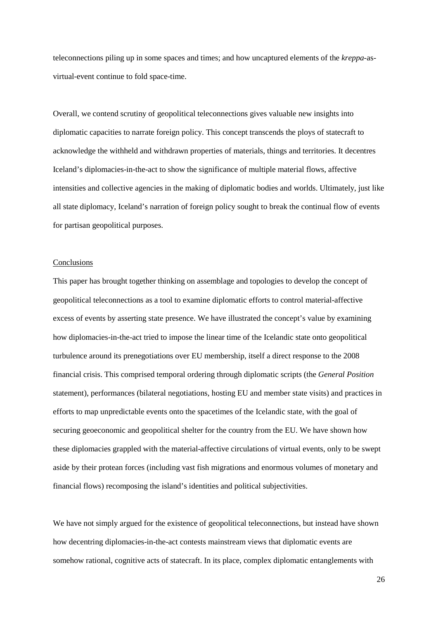teleconnections piling up in some spaces and times; and how uncaptured elements of the *kreppa-*asvirtual-event continue to fold space-time.

Overall, we contend scrutiny of geopolitical teleconnections gives valuable new insights into diplomatic capacities to narrate foreign policy. This concept transcends the ploys of statecraft to acknowledge the withheld and withdrawn properties of materials, things and territories. It decentres Iceland's diplomacies-in-the-act to show the significance of multiple material flows, affective intensities and collective agencies in the making of diplomatic bodies and worlds. Ultimately, just like all state diplomacy, Iceland's narration of foreign policy sought to break the continual flow of events for partisan geopolitical purposes.

# Conclusions

This paper has brought together thinking on assemblage and topologies to develop the concept of geopolitical teleconnections as a tool to examine diplomatic efforts to control material-affective excess of events by asserting state presence. We have illustrated the concept's value by examining how diplomacies-in-the-act tried to impose the linear time of the Icelandic state onto geopolitical turbulence around its prenegotiations over EU membership, itself a direct response to the 2008 financial crisis. This comprised temporal ordering through diplomatic scripts (the *General Position* statement), performances (bilateral negotiations, hosting EU and member state visits) and practices in efforts to map unpredictable events onto the spacetimes of the Icelandic state, with the goal of securing geoeconomic and geopolitical shelter for the country from the EU. We have shown how these diplomacies grappled with the material-affective circulations of virtual events, only to be swept aside by their protean forces (including vast fish migrations and enormous volumes of monetary and financial flows) recomposing the island's identities and political subjectivities.

We have not simply argued for the existence of geopolitical teleconnections, but instead have shown how decentring diplomacies-in-the-act contests mainstream views that diplomatic events are somehow rational, cognitive acts of statecraft. In its place, complex diplomatic entanglements with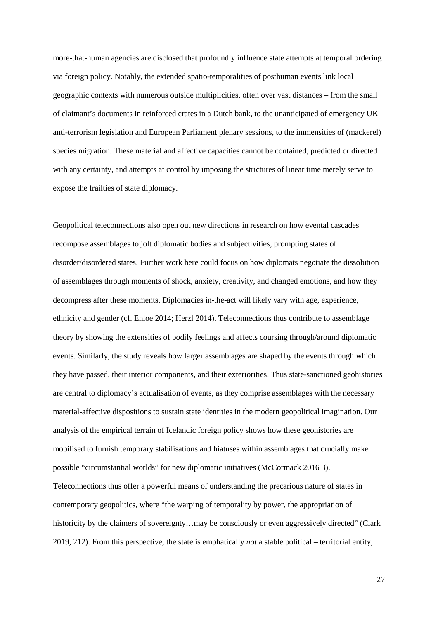more-that-human agencies are disclosed that profoundly influence state attempts at temporal ordering via foreign policy. Notably, the extended spatio-temporalities of posthuman events link local geographic contexts with numerous outside multiplicities, often over vast distances – from the small of claimant's documents in reinforced crates in a Dutch bank, to the unanticipated of emergency UK anti-terrorism legislation and European Parliament plenary sessions, to the immensities of (mackerel) species migration. These material and affective capacities cannot be contained, predicted or directed with any certainty, and attempts at control by imposing the strictures of linear time merely serve to expose the frailties of state diplomacy.

Geopolitical teleconnections also open out new directions in research on how evental cascades recompose assemblages to jolt diplomatic bodies and subjectivities, prompting states of disorder/disordered states. Further work here could focus on how diplomats negotiate the dissolution of assemblages through moments of shock, anxiety, creativity, and changed emotions, and how they decompress after these moments. Diplomacies in-the-act will likely vary with age, experience, ethnicity and gender (cf. Enloe 2014; Herzl 2014). Teleconnections thus contribute to assemblage theory by showing the extensities of bodily feelings and affects coursing through/around diplomatic events. Similarly, the study reveals how larger assemblages are shaped by the events through which they have passed, their interior components, and their exteriorities. Thus state-sanctioned geohistories are central to diplomacy's actualisation of events, as they comprise assemblages with the necessary material-affective dispositions to sustain state identities in the modern geopolitical imagination. Our analysis of the empirical terrain of Icelandic foreign policy shows how these geohistories are mobilised to furnish temporary stabilisations and hiatuses within assemblages that crucially make possible "circumstantial worlds" for new diplomatic initiatives (McCormack 2016 3). Teleconnections thus offer a powerful means of understanding the precarious nature of states in contemporary geopolitics, where "the warping of temporality by power, the appropriation of historicity by the claimers of sovereignty...may be consciously or even aggressively directed" (Clark 2019, 212). From this perspective, the state is emphatically *not* a stable political – territorial entity,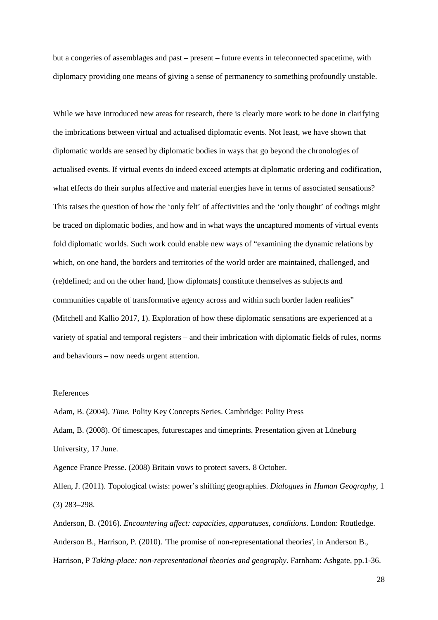but a congeries of assemblages and past – present – future events in teleconnected spacetime, with diplomacy providing one means of giving a sense of permanency to something profoundly unstable.

While we have introduced new areas for research, there is clearly more work to be done in clarifying the imbrications between virtual and actualised diplomatic events. Not least, we have shown that diplomatic worlds are sensed by diplomatic bodies in ways that go beyond the chronologies of actualised events. If virtual events do indeed exceed attempts at diplomatic ordering and codification, what effects do their surplus affective and material energies have in terms of associated sensations? This raises the question of how the 'only felt' of affectivities and the 'only thought' of codings might be traced on diplomatic bodies, and how and in what ways the uncaptured moments of virtual events fold diplomatic worlds. Such work could enable new ways of "examining the dynamic relations by which, on one hand, the borders and territories of the world order are maintained, challenged, and (re)defined; and on the other hand, [how diplomats] constitute themselves as subjects and communities capable of transformative agency across and within such border laden realities" (Mitchell and Kallio 2017, 1). Exploration of how these diplomatic sensations are experienced at a variety of spatial and temporal registers – and their imbrication with diplomatic fields of rules, norms and behaviours – now needs urgent attention.

# **References**

Adam, B. (2004). *Time.* Polity Key Concepts Series. Cambridge: Polity Press Adam, B. (2008). Of timescapes, futurescapes and timeprints. Presentation given at Lüneburg University, 17 June.

Agence France Presse. (2008) Britain vows to protect savers. 8 October.

Allen, J. (2011). Topological twists: power's shifting geographies. *Dialogues in Human Geography,* 1 (3) 283–298.

Anderson, B. (2016). *Encountering affect: capacities, apparatuses, conditions.* London: Routledge. Anderson B., Harrison, P. (2010). 'The promise of non-representational theories', in Anderson B., Harrison, P *Taking-place: non-representational theories and geography*. Farnham: Ashgate, pp.1-36.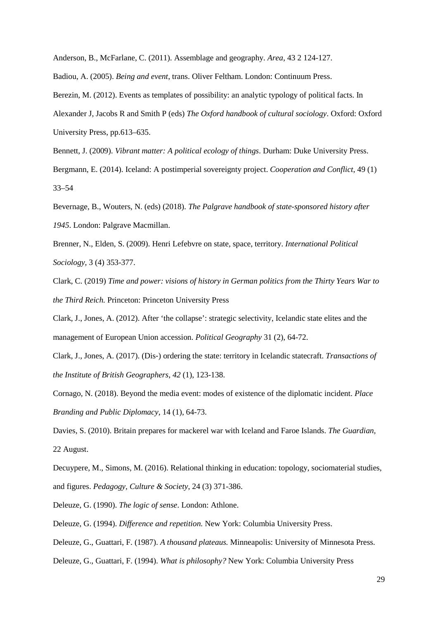Anderson, B., McFarlane, C. (2011). Assemblage and geography. *Area,* 43 2 124-127.

Badiou, A. (2005). *Being and event*, trans. Oliver Feltham. London: Continuum Press.

Berezin, M. (2012). Events as templates of possibility: an analytic typology of political facts. In

Alexander J, Jacobs R and Smith P (eds) *The Oxford handbook of cultural sociology*. Oxford: Oxford University Press, pp.613–635.

Bennett, J. (2009). *Vibrant matter: A political ecology of things*. Durham: Duke University Press.

Bergmann, E. (2014). Iceland: A postimperial sovereignty project. *Cooperation and Conflict*, 49 (1) 33–54

Bevernage, B., Wouters, N. (eds) (2018). *The Palgrave handbook of state-sponsored history after 1945*. London: Palgrave Macmillan.

Brenner, N., Elden, S. (2009). Henri Lefebvre on state, space, territory. *International Political Sociology,* 3 (4) 353-377.

Clark, C. (2019) *Time and power: visions of history in German politics from the Thirty Years War to the Third Reich.* Princeton: Princeton University Press

Clark, J., Jones, A. (2012). After 'the collapse': strategic selectivity, Icelandic state elites and the management of European Union accession. *Political Geography* 31 (2), 64-72.

Clark, J., Jones, A. (2017). (Dis‐) ordering the state: territory in Icelandic statecraft. *Transactions of the Institute of British Geographers*, *42* (1), 123-138.

Cornago, N. (2018). Beyond the media event: modes of existence of the diplomatic incident. *Place Branding and Public Diplomacy,* 14 (1), 64-73.

Davies, S. (2010). Britain prepares for mackerel war with Iceland and Faroe Islands. *The Guardian,* 22 August.

Decuypere, M., Simons, M. (2016). Relational thinking in education: topology, sociomaterial studies, and figures. *Pedagogy, Culture & Society*, 24 (3) 371-386.

Deleuze, G. (1990). *The logic of sense*. London: Athlone.

Deleuze, G. (1994). *Difference and repetition.* New York: Columbia University Press.

Deleuze, G., Guattari, F. (1987). *A thousand plateaus.* Minneapolis: University of Minnesota Press.

Deleuze, G., Guattari, F. (1994). *What is philosophy?* New York: Columbia University Press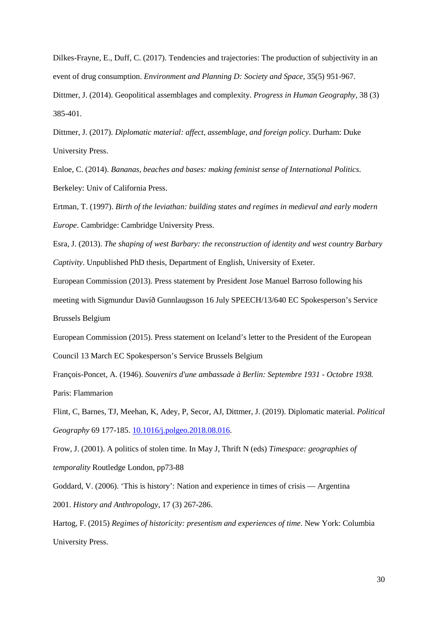Dilkes-Frayne, E., Duff, C. (2017). Tendencies and trajectories: The production of subjectivity in an event of drug consumption. *Environment and Planning D: Society and Space*, 35(5) 951-967.

Dittmer, J. (2014). Geopolitical assemblages and complexity. *Progress in Human Geography,* 38 (3) 385-401.

Dittmer, J. (2017). *Diplomatic material: affect, assemblage, and foreign policy*. Durham: Duke University Press.

Enloe, C. (2014). *Bananas, beaches and bases: making feminist sense of International Politics*. Berkeley: Univ of California Press.

Ertman, T. (1997). *Birth of the leviathan: building states and regimes in medieval and early modern Europe*. Cambridge: Cambridge University Press.

Esra, J. (2013). *The shaping of west Barbary: the reconstruction of identity and west country Barbary Captivity*. Unpublished PhD thesis, Department of English, University of Exeter.

European Commission (2013). Press statement by President Jose Manuel Barroso following his

meeting with Sigmundur Davíð Gunnlaugsson 16 July SPEECH/13/640 EC Spokesperson's Service Brussels Belgium

European Commission (2015). Press statement on Iceland's letter to the President of the European

Council 13 March EC Spokesperson's Service Brussels Belgium

François-Poncet, A. (1946). *Souvenirs d'une ambassade à Berlin: Septembre 1931 - Octobre 1938.* Paris: Flammarion

Flint, C, Barnes, TJ, Meehan, K, Adey, P, Secor, AJ, Dittmer, J. (2019). Diplomatic material. *Political Geography* 69 177-185. [10.1016/j.polgeo.2018.08.016.](http://dx.doi.org/10.1016/j.polgeo.2018.08.016)

Frow, J. (2001). A politics of stolen time. In May J, Thrift N (eds) *Timespace: geographies of temporality* Routledge London, pp73-88

Goddard, V. (2006). 'This is history': Nation and experience in times of crisis — Argentina 2001. *History and Anthropology*, 17 (3) 267-286.

Hartog, F. (2015) *Regimes of historicity: presentism and experiences of time*. New York: Columbia University Press.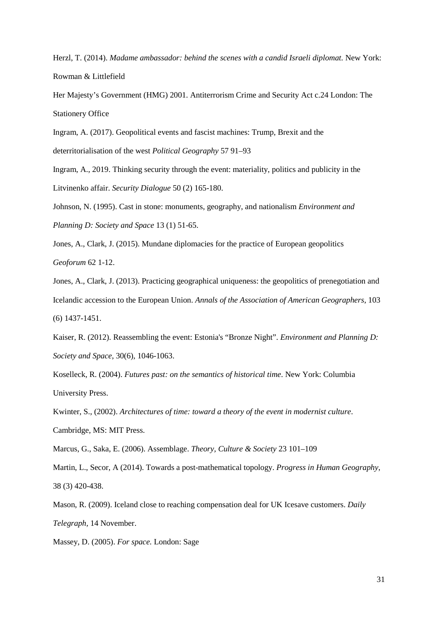Herzl, T. (2014). *Madame ambassador: behind the scenes with a candid Israeli diplomat.* New York: Rowman & Littlefield

Her Majesty's Government (HMG) 2001. Antiterrorism Crime and Security Act c.24 London: The Stationery Office

Ingram, A. (2017). Geopolitical events and fascist machines: Trump, Brexit and the deterritorialisation of the west *Political Geography* 57 91–93

Ingram, A., 2019. Thinking security through the event: materiality, politics and publicity in the Litvinenko affair. *Security Dialogue* 50 (2) 165-180.

Johnson, N. (1995). Cast in stone: monuments, geography, and nationalism *Environment and Planning D: Society and Space* 13 (1) 51-65.

Jones, A., Clark, J. (2015). Mundane diplomacies for the practice of European geopolitics *Geoforum* 62 1-12.

Jones, A., Clark, J. (2013). Practicing geographical uniqueness: the geopolitics of prenegotiation and Icelandic accession to the European Union. *Annals of the Association of American Geographers*, 103 (6) 1437-1451.

Kaiser, R. (2012). Reassembling the event: Estonia's "Bronze Night". *Environment and Planning D: Society and Space*, 30(6), 1046-1063.

Koselleck, R. (2004). *Futures past: on the semantics of historical time*. New York: Columbia University Press.

Kwinter, S., (2002). *Architectures of time: toward a theory of the event in modernist culture*. Cambridge, MS: MIT Press.

Marcus, G., Saka, E. (2006). Assemblage. *Theory, Culture & Society* 23 101–109

Martin, L., Secor, A (2014). Towards a post-mathematical topology. *Progress in Human Geography*, 38 (3) 420-438.

Mason, R. (2009). Iceland close to reaching compensation deal for UK Icesave customers. *Daily Telegraph,* 14 November.

Massey, D. (2005). *For space.* London: Sage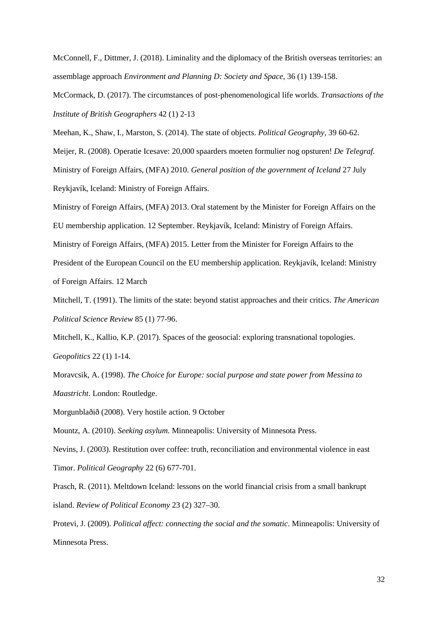McConnell, F., Dittmer, J. (2018). Liminality and the diplomacy of the British overseas territories: an assemblage approach *Environment and Planning D: Society and Space*, 36 (1) 139-158.

McCormack, D. (2017). The circumstances of post‐phenomenological life worlds. *Transactions of the Institute of British Geographers* 42 (1) 2-13

Meehan, K., Shaw, I., Marston, S. (2014). The state of objects. *Political Geography,* 39 60-62. Meijer, R. (2008). Operatie Icesave: 20,000 spaarders moeten formulier nog opsturen! *De Telegraf.* Ministry of Foreign Affairs, (MFA) 2010. *General position of the government of Iceland* 27 July Reykjavík, Iceland: Ministry of Foreign Affairs.

Ministry of Foreign Affairs, (MFA) 2013. Oral statement by the Minister for Foreign Affairs on the EU membership application. 12 September. Reykjavík, Iceland: Ministry of Foreign Affairs. Ministry of Foreign Affairs, (MFA) 2015. Letter from the Minister for Foreign Affairs to the President of the European Council on the EU membership application. Reykjavík, Iceland: Ministry of Foreign Affairs. 12 March

Mitchell, T. (1991). The limits of the state: beyond statist approaches and their critics. *The American Political Science Review* 85 (1) 77-96.

Mitchell, K., Kallio, K.P. (2017). Spaces of the geosocial: exploring transnational topologies. *Geopolitics* 22 (1) 1-14.

Moravcsik, A. (1998). *The Choice for Europe: social purpose and state power from Messina to Maastricht*. London: Routledge.

Morgunblaðið (2008). Very hostile action. 9 October

Mountz, A. (2010). *Seeking asylum*. Minneapolis: University of Minnesota Press.

Nevins, J. (2003). Restitution over coffee: truth, reconciliation and environmental violence in east Timor. *Political Geography* 22 (6) 677-701.

Prasch, R. (2011). Meltdown Iceland: lessons on the world financial crisis from a small bankrupt island. *Review of Political Economy* 23 (2) 327–30.

Protevi, J. (2009). *Political affect: connecting the social and the somatic*. Minneapolis: University of Minnesota Press.